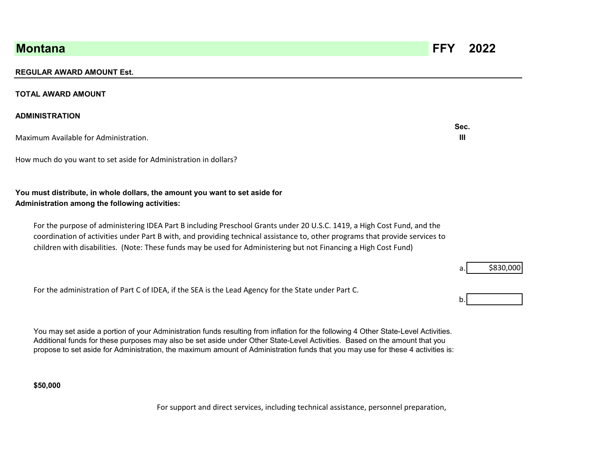## **REGULAR AWARD AMOUNT Est.**

#### **TOTAL AWARD AMOUNT**

### **ADMINISTRATION**

Maximum Available for Administration. **III** 

How much do you want to set aside for Administration in dollars?

# **You must distribute, in whole dollars, the amount you want to set aside for Administration among the following activities:**

For the purpose of administering IDEA Part B including Preschool Grants under 20 U.S.C. 1419, a High Cost Fund, and the coordination of activities under Part B with, and providing technical assistance to, other programs that provide services to children with disabilities. (Note: These funds may be used for Administering but not Financing a High Cost Fund)

For the administration of Part C of IDEA, if the SEA is the Lead Agency for the State under Part C.

You may set aside a portion of your Administration funds resulting from inflation for the following 4 Other State-Level Activities. propose to set aside for Administration, the maximum amount of Administration funds that you may use for these 4 activities is: Additional funds for these purposes may also be set aside under Other State-Level Activities. Based on the amount that you

**\$50,000** 

For support and direct services, including technical assistance, personnel preparation,

**Montana FFY 2022** 





**Sec.**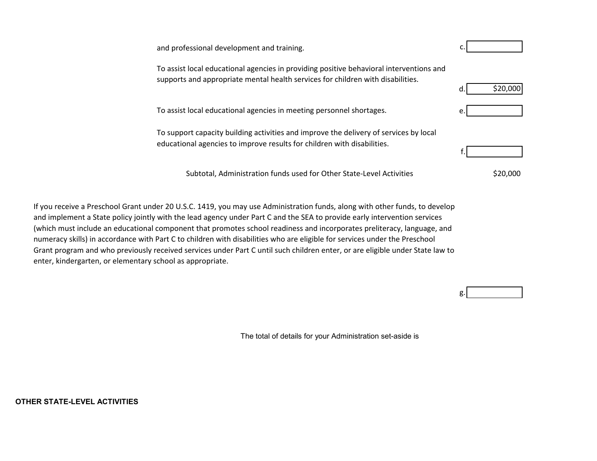and professional development and training. The control of the control of the control of the control of the control of the control of the control of the control of the control of the control of the control of the control of To assist local educational agencies in providing positive behavioral interventions and supports and appropriate mental health services for children with disabilities. d. To assist local educational agencies in meeting personnel shortages. To support capacity building activities and improve the delivery of services by local educational agencies to improve results for children with disabilities. f. \$20,000 Subtotal, Administration funds used for Other State-Level Activities \$20,000

If you receive a Preschool Grant under 20 U.S.C. 1419, you may use Administration funds, along with other funds, to develop and implement a State policy jointly with the lead agency under Part C and the SEA to provide early intervention services (which must include an educational component that promotes school readiness and incorporates preliteracy, language, and numeracy skills) in accordance with Part C to children with disabilities who are eligible for services under the Preschool Grant program and who previously received services under Part C until such children enter, or are eligible under State law to enter, kindergarten, or elementary school as appropriate.

The total of details for your Administration set-aside is

g.

**OTHER STATE-LEVEL ACTIVITIES**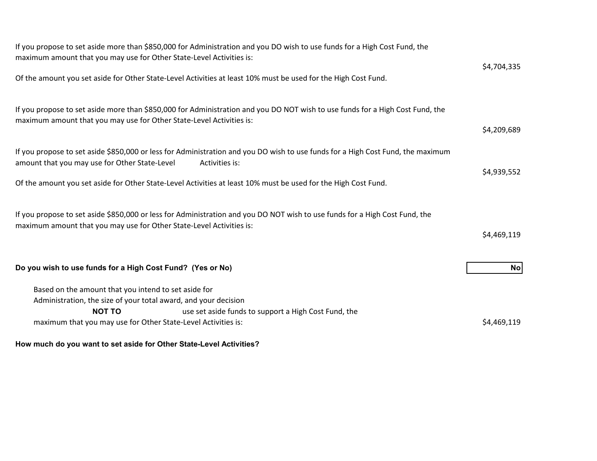| \$4,704,335 |
|-------------|
|             |
| \$4,209,689 |
| \$4,939,552 |
|             |
| \$4,469,119 |
| No          |
| \$4,469,119 |
|             |

**How much do you want to set aside for Other State-Level Activities?**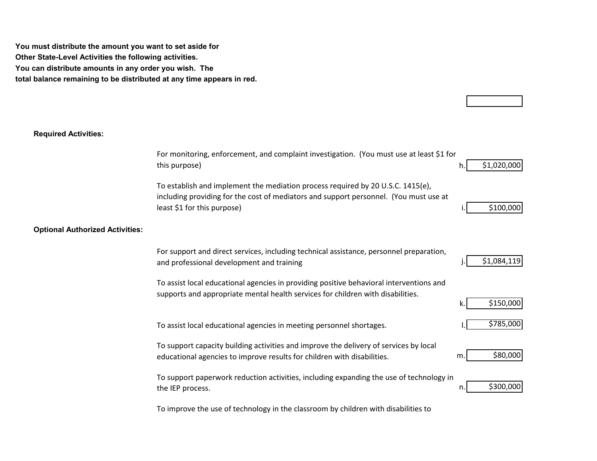**You must distribute the amount you want to set aside for Other State-Level Activities the following activities. You can distribute amounts in any order you wish. The total balance remaining to be distributed at any time appears in red.** 

## **Required Activities:**

|                                        | For monitoring, enforcement, and complaint investigation. (You must use at least \$1 for<br>this purpose)                                                                                               | h. | \$1,020,000 |
|----------------------------------------|---------------------------------------------------------------------------------------------------------------------------------------------------------------------------------------------------------|----|-------------|
|                                        | To establish and implement the mediation process required by 20 U.S.C. 1415(e),<br>including providing for the cost of mediators and support personnel. (You must use at<br>least \$1 for this purpose) |    | \$100,000   |
| <b>Optional Authorized Activities:</b> |                                                                                                                                                                                                         |    |             |
|                                        | For support and direct services, including technical assistance, personnel preparation,<br>and professional development and training                                                                    |    | \$1,084,119 |
|                                        | To assist local educational agencies in providing positive behavioral interventions and<br>supports and appropriate mental health services for children with disabilities.                              | k. | \$150,000   |
|                                        | To assist local educational agencies in meeting personnel shortages.                                                                                                                                    |    | \$785,000   |
|                                        | To support capacity building activities and improve the delivery of services by local<br>educational agencies to improve results for children with disabilities.                                        | m. | \$80,000    |
|                                        | To support paperwork reduction activities, including expanding the use of technology in<br>the IEP process.                                                                                             | n. | \$300,000   |

To improve the use of technology in the classroom by children with disabilities to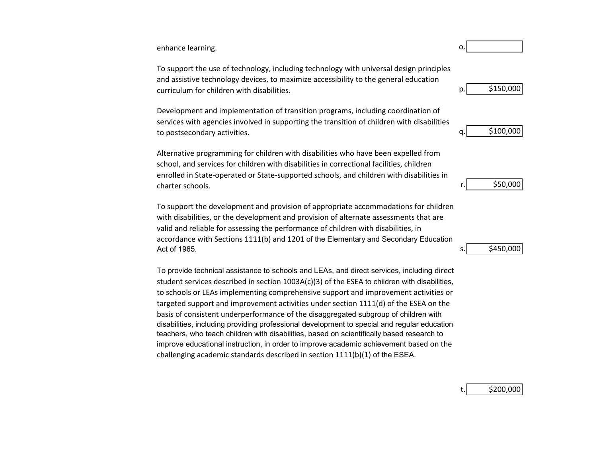enhance learning. **b** a set of the set of the set of the set of the set of the set of the set of the set of the set of the set of the set of the set of the set of the set of the set of the set of the set of the set of the

To support the use of technology, including technology with universal design principles and assistive technology devices, to maximize accessibility to the general education curriculum for children with disabilities. p.

to postsecondary activities.  $q$ . Development and implementation of transition programs, including coordination of services with agencies involved in supporting the transition of children with disabilities

Alternative programming for children with disabilities who have been expelled from school, and services for children with disabilities in correctional facilities, children enrolled in State-operated or State-supported schools, and children with disabilities in charter schools.

To support the development and provision of appropriate accommodations for children with disabilities, or the development and provision of alternate assessments that are valid and reliable for assessing the performance of children with disabilities, in accordance with Sections 1111(b) and 1201 of the Elementary and Secondary Education  $\Delta$  Act of 1965.

challenging academic standards described in section  $1111(b)(1)$  of the ESEA. To provide technical assistance to schools and LEAs, and direct services, including direct student services described in section 1003A(c)(3) of the ESEA to children with disabilities, to schools or LEAs implementing comprehensive support and improvement activities or targeted support and improvement activities under section 1111(d) of the ESEA on the basis of consistent underperformance of the disaggregated subgroup of children with disabilities, including providing professional development to special and regular education teachers, who teach children with disabilities, based on scientifically based research to improve educational instruction, in order to improve academic achievement based on the peelopment and implementation of transition programs, including coordination of Peelopment and implementation of transition of children with disabilities<br>services with agencies involved in supporting the transition of chil



\$450,000

\$200,000